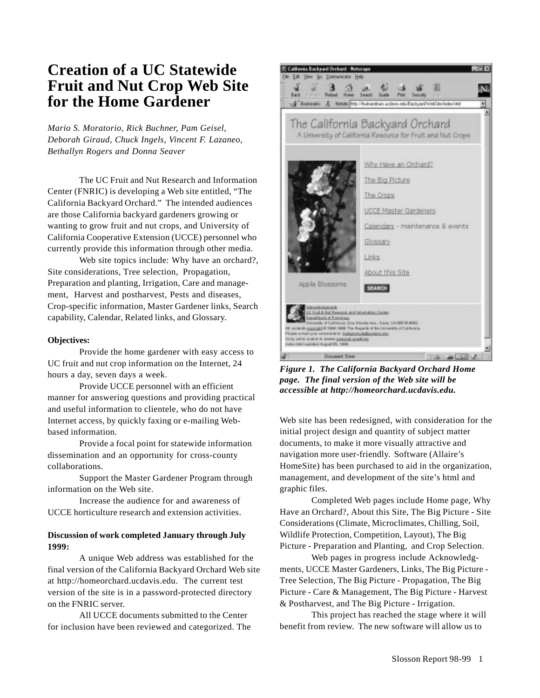## **Creation of a UC Statewide Fruit and Nut Crop Web Site for the Home Gardener**

*Mario S. Moratorio, Rick Buchner, Pam Geisel, Deborah Giraud, Chuck Ingels, Vincent F. Lazaneo, Bethallyn Rogers and Donna Seaver*

The UC Fruit and Nut Research and Information Center (FNRIC) is developing a Web site entitled, "The California Backyard Orchard." The intended audiences are those California backyard gardeners growing or wanting to grow fruit and nut crops, and University of California Cooperative Extension (UCCE) personnel who currently provide this information through other media.

Web site topics include: Why have an orchard?, Site considerations, Tree selection, Propagation, Preparation and planting, Irrigation, Care and management, Harvest and postharvest, Pests and diseases, Crop-specific information, Master Gardener links, Search capability, Calendar, Related links, and Glossary.

## **Objectives:**

Provide the home gardener with easy access to UC fruit and nut crop information on the Internet, 24 hours a day, seven days a week.

Provide UCCE personnel with an efficient manner for answering questions and providing practical and useful information to clientele, who do not have Internet access, by quickly faxing or e-mailing Webbased information.

Provide a focal point for statewide information dissemination and an opportunity for cross-county collaborations.

Support the Master Gardener Program through information on the Web site.

Increase the audience for and awareness of UCCE horticulture research and extension activities.

## **Discussion of work completed January through July 1999:**

A unique Web address was established for the final version of the California Backyard Orchard Web site at http://homeorchard.ucdavis.edu. The current test version of the site is in a password-protected directory on the FNRIC server.

All UCCE documents submitted to the Center for inclusion have been reviewed and categorized. The



*Figure 1. The California Backyard Orchard Home page. The final version of the Web site will be accessible at http://homeorchard.ucdavis.edu.*

Web site has been redesigned, with consideration for the initial project design and quantity of subject matter documents, to make it more visually attractive and navigation more user-friendly. Software (Allaire's HomeSite) has been purchased to aid in the organization, management, and development of the site's html and graphic files.

Completed Web pages include Home page, Why Have an Orchard?, About this Site, The Big Picture - Site Considerations (Climate, Microclimates, Chilling, Soil, Wildlife Protection, Competition, Layout), The Big Picture - Preparation and Planting, and Crop Selection.

Web pages in progress include Acknowledgments, UCCE Master Gardeners, Links, The Big Picture - Tree Selection, The Big Picture - Propagation, The Big Picture - Care & Management, The Big Picture - Harvest & Postharvest, and The Big Picture - Irrigation.

This project has reached the stage where it will benefit from review. The new software will allow us to